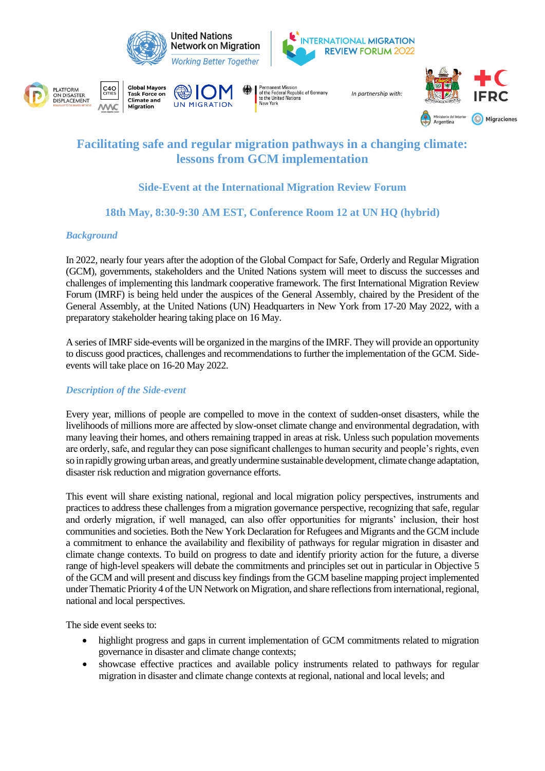





**ATEORM CLATORM**<br>**ON DISASTER**<br>DISPLACEMENT

**Global Mayors** Task Force on Climate and **MAC Migration** 

C<sub>40</sub>



**Network on Migration** 

**Working Better Together** 

**United Nations** 

Permanent Mission<br>of the Federal Republic of Germany<br>to the United Nations<br>New York

*In partnership with:*



# **Facilitating safe and regular migration pathways in a changing climate: lessons from GCM implementation**

## **Side-Event at the International Migration Review Forum**

## **18th May, 8:30-9:30 AM EST, Conference Room 12 at UN HQ (hybrid)**

#### *Background*

In 2022, nearly four years after the adoption of the Global Compact for Safe, Orderly and Regular Migration (GCM), governments, stakeholders and the United Nations system will meet to discuss the successes and challenges of implementing this landmark cooperative framework. The first International Migration Review Forum (IMRF) is being held under the auspices of the General Assembly, chaired by the President of the General Assembly, at the United Nations (UN) Headquarters in New York from 17-20 May 2022, with a preparatory stakeholder hearing taking place on 16 May.

A series of IMRF side-events will be organized in the margins of the IMRF. They will provide an opportunity to discuss good practices, challenges and recommendations to further the implementation of the GCM. Sideevents will take place on 16-20 May 2022.

### *Description of the Side-event*

Every year, millions of people are compelled to move in the context of sudden-onset disasters, while the livelihoods of millions more are affected by slow-onset climate change and environmental degradation, with many leaving their homes, and others remaining trapped in areas at risk. Unless such population movements are orderly, safe, and regular they can pose significant challenges to human security and people's rights, even so in rapidly growing urban areas, and greatly undermine sustainable development, climate change adaptation, disaster risk reduction and migration governance efforts.

This event will share existing national, regional and local migration policy perspectives, instruments and practices to address these challenges from a migration governance perspective, recognizing that safe, regular and orderly migration, if well managed, can also offer opportunities for migrants' inclusion, their host communities and societies. Both the New York Declaration for Refugees and Migrants and the GCM include a commitment to enhance the availability and flexibility of pathways for regular migration in disaster and climate change contexts. To build on progress to date and identify priority action for the future, a diverse range of high-level speakers will debate the commitments and principles set out in particular in Objective 5 of the GCM and will present and discuss key findings from the GCM baseline mapping project implemented under Thematic Priority 4 of the UN Network on Migration, and share reflections from international, regional, national and local perspectives.

The side event seeks to:

- highlight progress and gaps in current implementation of GCM commitments related to migration governance in disaster and climate change contexts;
- showcase effective practices and available policy instruments related to pathways for regular migration in disaster and climate change contexts at regional, national and local levels; and